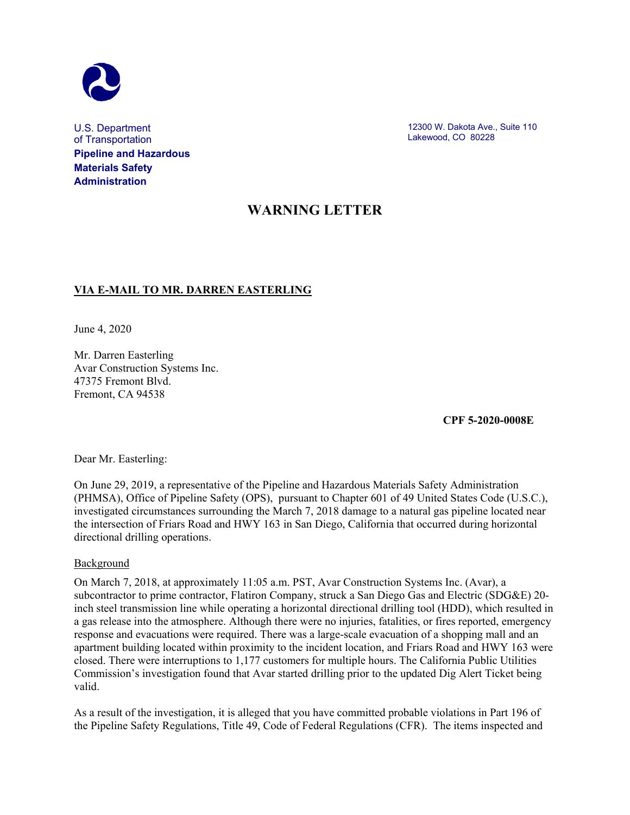

U.S. Department of Transportation **Pipeline and Hazardous Materials Safety Administration**

12300 W. Dakota Ave., Suite 110 Lakewood, CO 80228

# **WARNING LETTER**

## **VIA E-MAIL TO MR. DARREN EASTERLING**

June 4, 2020

Mr. Darren Easterling Avar Construction Systems Inc. 47375 Fremont Blvd. Fremont, CA 94538

 **CPF 5-2020-0008E**

Dear Mr. Easterling:

On June 29, 2019, a representative of the Pipeline and Hazardous Materials Safety Administration (PHMSA), Office of Pipeline Safety (OPS), pursuant to Chapter 601 of 49 United States Code (U.S.C.), investigated circumstances surrounding the March 7, 2018 damage to a natural gas pipeline located near the intersection of Friars Road and HWY 163 in San Diego, California that occurred during horizontal directional drilling operations.

#### Background

On March 7, 2018, at approximately 11:05 a.m. PST, Avar Construction Systems Inc. (Avar), a subcontractor to prime contractor, Flatiron Company, struck a San Diego Gas and Electric (SDG&E) 20 inch steel transmission line while operating a horizontal directional drilling tool (HDD), which resulted in a gas release into the atmosphere. Although there were no injuries, fatalities, or fires reported, emergency response and evacuations were required. There was a large-scale evacuation of a shopping mall and an apartment building located within proximity to the incident location, and Friars Road and HWY 163 were closed. There were interruptions to 1,177 customers for multiple hours. The California Public Utilities Commission's investigation found that Avar started drilling prior to the updated Dig Alert Ticket being valid.

As a result of the investigation, it is alleged that you have committed probable violations in Part 196 of the Pipeline Safety Regulations, Title 49, Code of Federal Regulations (CFR). The items inspected and